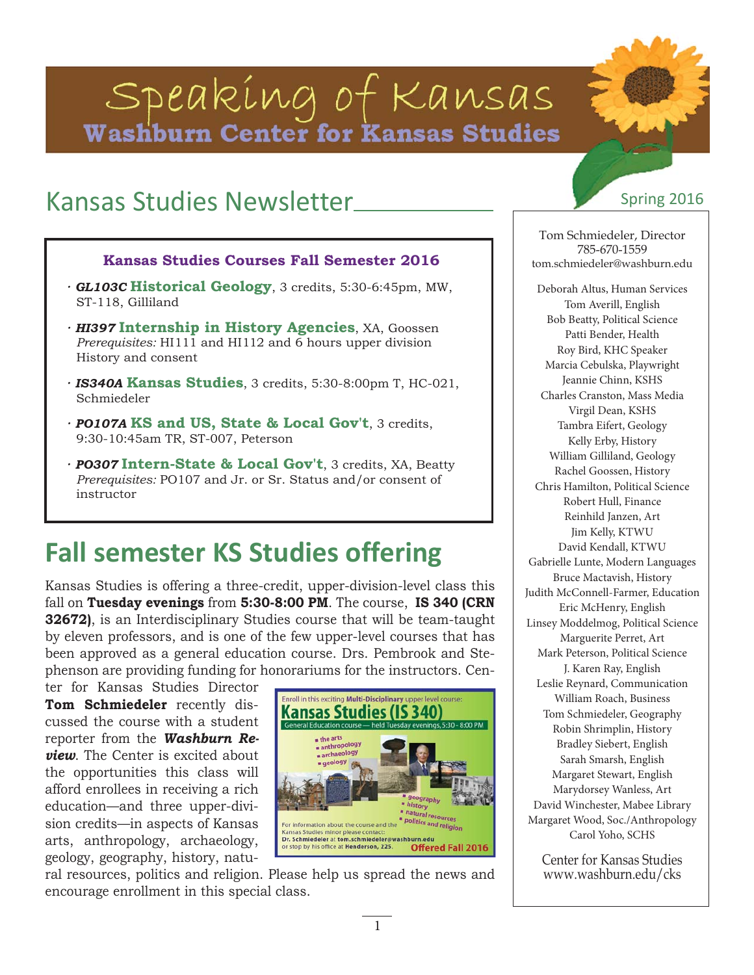# Speaking of Kansas Washburn Center for Kansas Studies

# Kansas Studies Newsletter Spring 2016

#### **Kansas Studies Courses Fall Semester 2016**

- *· GL103C* **Historical Geology**, 3 credits, 5:30-6:45pm, MW, ST-118, Gilliland
- *· HI397* **Internship in History Agencies**, XA, Goossen *Prerequisites:* HI111 and HI112 and 6 hours upper division History and consent
- *· IS340A* **Kansas Studies**, 3 credits, 5:30-8:00pm T, HC-021, Schmiedeler
- *· PO107A* **KS and US, State & Local Gov't**, 3 credits, 9:30-10:45am TR, ST-007, Peterson
- *· PO307* **Intern-State & Local Gov't**, 3 credits, XA, Beatty *Prerequisites:* PO107 and Jr. or Sr. Status and/or consent of instructor

# **Fall semester KS Studies offering**

Kansas Studies is offering a three-credit, upper-division-level class this fall on **Tuesday evenings** from **5:30-8:00 PM**. The course, **IS 340 (CRN 32672)**, is an Interdisciplinary Studies course that will be team-taught by eleven professors, and is one of the few upper-level courses that has been approved as a general education course. Drs. Pembrook and Stephenson are providing funding for honorariums for the instructors. Cen-

ter for Kansas Studies Director **Tom Schmiedeler** recently discussed the course with a student reporter from the *Washburn Review*. The Center is excited about the opportunities this class will afford enrollees in receiving a rich education—and three upper-division credits—in aspects of Kansas arts, anthropology, archaeology, geology, geography, history, natu-

ral resources, politics and religion. Please help us spread the news and encourage enrollment in this special class.

Tom Schmiedeler, Director 785-670-1559 tom.schmiedeler@washburn.edu

Deborah Altus, Human Services Tom Averill, English Bob Beatty, Political Science Patti Bender, Health Roy Bird, KHC Speaker Marcia Cebulska, Playwright Jeannie Chinn, KSHS Charles Cranston, Mass Media Virgil Dean, KSHS Tambra Eifert, Geology Kelly Erby, History William Gilliland, Geology Rachel Goossen, History Chris Hamilton, Political Science Robert Hull, Finance Reinhild Janzen, Art Jim Kelly, KTWU David Kendall, KTWU Gabrielle Lunte, Modern Languages Bruce Mactavish, History Judith McConnell-Farmer, Education Eric McHenry, English Linsey Moddelmog, Political Science Marguerite Perret, Art Mark Peterson, Political Science J. Karen Ray, English Leslie Reynard, Communication William Roach, Business Tom Schmiedeler, Geography Robin Shrimplin, History Bradley Siebert, English Sarah Smarsh, English Margaret Stewart, English Marydorsey Wanless, Art David Winchester, Mabee Library Margaret Wood, Soc./Anthropology Carol Yoho, SCHS

Center for Kansas Studies www.washburn.edu/cks

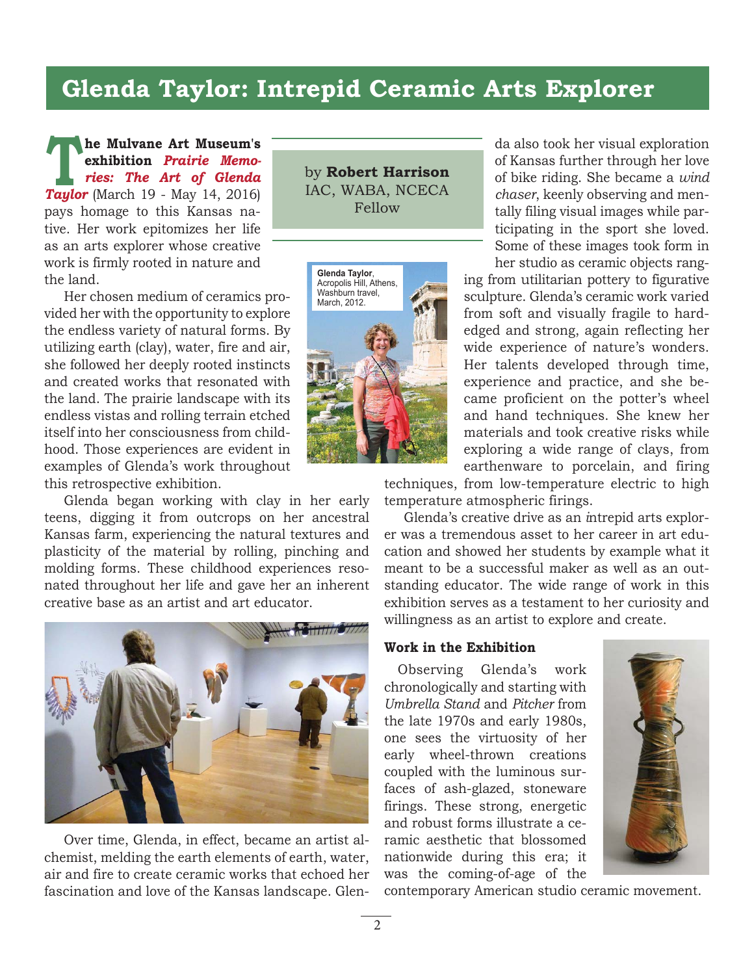## **Glenda Taylor: Intrepid Ceramic Arts Explorer**

**he Mulvane Art Museum's exhibition** *Prairie Memories: The Art of Glenda Taylor* (March 19 - May 14, 2016) pays homage to this Kansas native. Her work epitomizes her life as an arts explorer whose creative work is firmly rooted in nature and the land. **The Mulvane Art Museum s**<br> **Taylor (March 19 - May 14 2016)** JAC, WABA, NCECA

Her chosen medium of ceramics provided her with the opportunity to explore the endless variety of natural forms. By utilizing earth (clay), water, fire and air, she followed her deeply rooted instincts and created works that resonated with the land. The prairie landscape with its endless vistas and rolling terrain etched itself into her consciousness from childhood. Those experiences are evident in examples of Glenda's work throughout this retrospective exhibition.

Glenda began working with clay in her early teens, digging it from outcrops on her ancestral Kansas farm, experiencing the natural textures and plasticity of the material by rolling, pinching and molding forms. These childhood experiences resonated throughout her life and gave her an inherent creative base as an artist and art educator.



Over time, Glenda, in effect, became an artist alchemist, melding the earth elements of earth, water, air and fire to create ceramic works that echoed her fascination and love of the Kansas landscape. Glen-

IAC, WABA, NCECA Fellow



da also took her visual exploration of Kansas further through her love of bike riding. She became a *wind chaser*, keenly observing and mentally filing visual images while participating in the sport she loved. Some of these images took form in her studio as ceramic objects rang-

ing from utilitarian pottery to figurative sculpture. Glenda's ceramic work varied from soft and visually fragile to hardedged and strong, again reflecting her wide experience of nature's wonders. Her talents developed through time, experience and practice, and she became proficient on the potter's wheel and hand techniques. She knew her materials and took creative risks while exploring a wide range of clays, from earthenware to porcelain, and firing

techniques, from low-temperature electric to high temperature atmospheric firings.

Glenda's creative drive as an *i*ntrepid arts explorer was a tremendous asset to her career in art education and showed her students by example what it meant to be a successful maker as well as an outstanding educator. The wide range of work in this exhibition serves as a testament to her curiosity and willingness as an artist to explore and create.

#### **Work in the Exhibition**

Observing Glenda's work chronologically and starting with *Umbrella Stand* and *Pitcher* from the late 1970s and early 1980s, one sees the virtuosity of her early wheel-thrown creations coupled with the luminous surfaces of ash-glazed, stoneware firings. These strong, energetic and robust forms illustrate a ceramic aesthetic that blossomed nationwide during this era; it was the coming-of-age of the



contemporary American studio ceramic movement.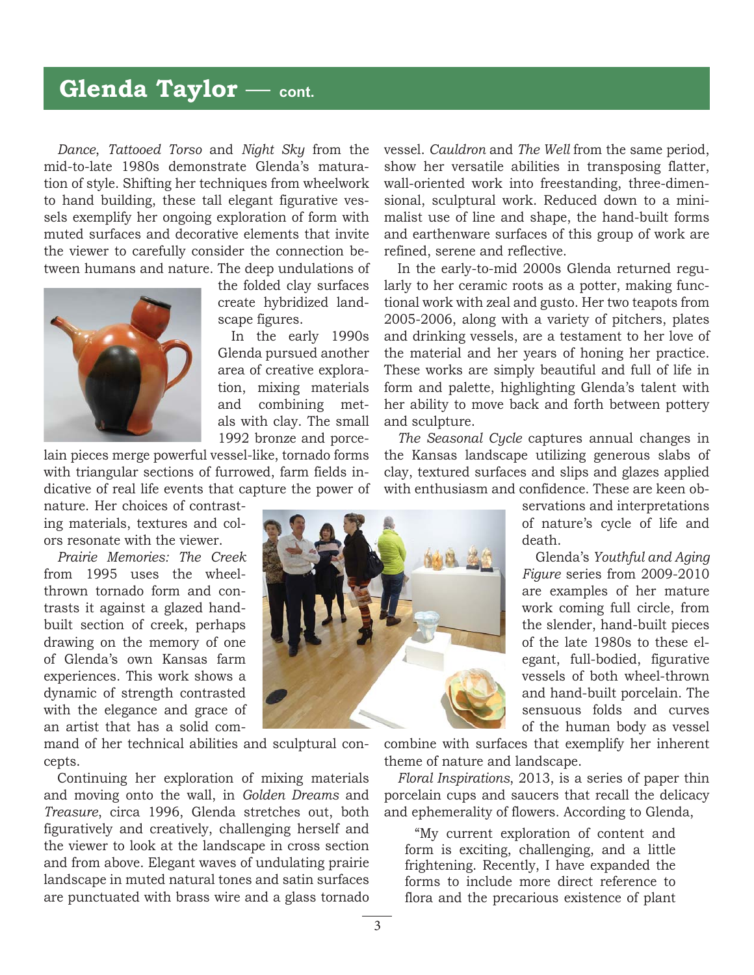## **Glenda Taylor** — **cont.**

*Dance*, *Tattooed Torso* and *Night Sky* from the mid-to-late 1980s demonstrate Glenda's maturation of style. Shifting her techniques from wheelwork to hand building, these tall elegant figurative vessels exemplify her ongoing exploration of form with muted surfaces and decorative elements that invite the viewer to carefully consider the connection between humans and nature. The deep undulations of



the folded clay surfaces create hybridized landscape figures.

In the early 1990s Glenda pursued another area of creative exploration, mixing materials and combining metals with clay. The small 1992 bronze and porce-

lain pieces merge powerful vessel-like, tornado forms with triangular sections of furrowed, farm fields indicative of real life events that capture the power of

nature. Her choices of contrasting materials, textures and colors resonate with the viewer.

*Prairie Memories: The Creek* from 1995 uses the wheelthrown tornado form and contrasts it against a glazed handbuilt section of creek, perhaps drawing on the memory of one of Glenda's own Kansas farm experiences. This work shows a dynamic of strength contrasted with the elegance and grace of an artist that has a solid com-

mand of her technical abilities and sculptural concepts.

Continuing her exploration of mixing materials and moving onto the wall, in *Golden Dreams* and *Treasure*, circa 1996, Glenda stretches out, both figuratively and creatively, challenging herself and the viewer to look at the landscape in cross section and from above. Elegant waves of undulating prairie landscape in muted natural tones and satin surfaces are punctuated with brass wire and a glass tornado vessel. *Cauldron* and *The Well* from the same period, show her versatile abilities in transposing flatter, wall-oriented work into freestanding, three-dimensional, sculptural work. Reduced down to a minimalist use of line and shape, the hand-built forms and earthenware surfaces of this group of work are refined, serene and reflective.

In the early-to-mid 2000s Glenda returned regularly to her ceramic roots as a potter, making functional work with zeal and gusto. Her two teapots from 2005-2006, along with a variety of pitchers, plates and drinking vessels, are a testament to her love of the material and her years of honing her practice. These works are simply beautiful and full of life in form and palette, highlighting Glenda's talent with her ability to move back and forth between pottery and sculpture.

*The Seasonal Cycle* captures annual changes in the Kansas landscape utilizing generous slabs of clay, textured surfaces and slips and glazes applied with enthusiasm and confidence. These are keen ob-

> servations and interpretations of nature's cycle of life and death.

> Glenda's *Youthful and Aging Figure* series from 2009-2010 are examples of her mature work coming full circle, from the slender, hand-built pieces of the late 1980s to these elegant, full-bodied, figurative vessels of both wheel-thrown and hand-built porcelain. The sensuous folds and curves of the human body as vessel

combine with surfaces that exemplify her inherent theme of nature and landscape.

*Floral Inspirations*, 2013, is a series of paper thin porcelain cups and saucers that recall the delicacy and ephemerality of flowers. According to Glenda,

"My current exploration of content and form is exciting, challenging, and a little frightening. Recently, I have expanded the forms to include more direct reference to flora and the precarious existence of plant

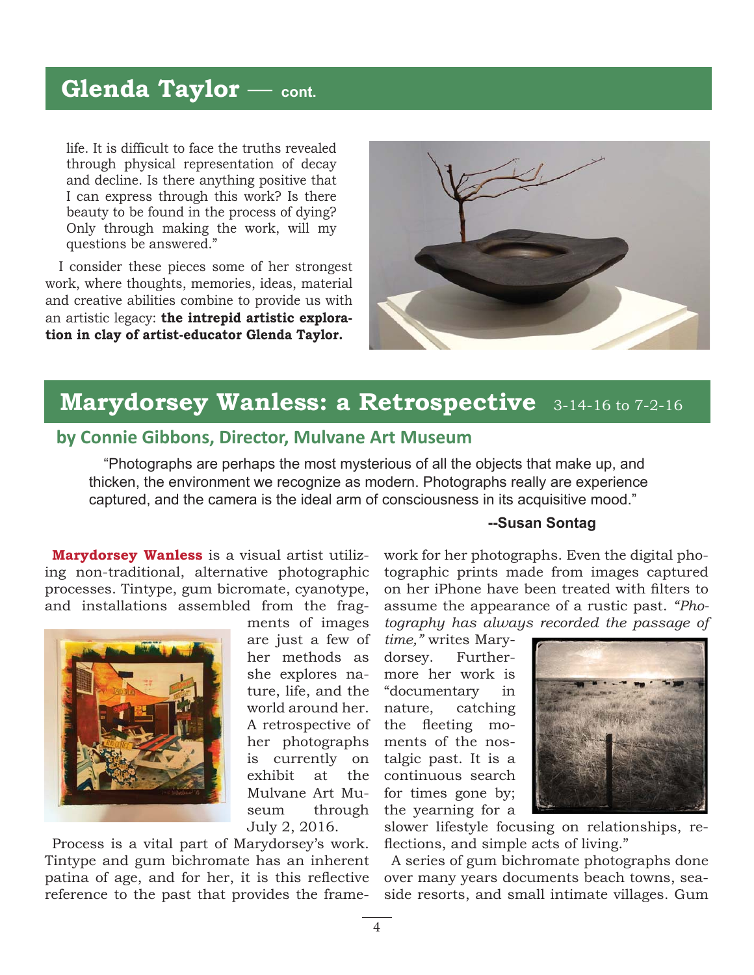# **Glenda Taylor** — **cont.**

life. It is difficult to face the truths revealed through physical representation of decay and decline. Is there anything positive that I can express through this work? Is there beauty to be found in the process of dying? Only through making the work, will my questions be answered."

I consider these pieces some of her strongest work, where thoughts, memories, ideas, material and creative abilities combine to provide us with an artistic legacy: **the intrepid artistic exploration in clay of artist-educator Glenda Taylor.**



# **Marydorsey Wanless: a Retrospective** 3-14-16 to 7-2-16

#### **by Connie Gibbons, Director, Mulvane Art Museum**

"Photographs are perhaps the most mysterious of all the objects that make up, and thicken, the environment we recognize as modern. Photographs really are experience captured, and the camera is the ideal arm of consciousness in its acquisitive mood."

**Marydorsey Wanless** is a visual artist utilizing non-traditional, alternative photographic processes. Tintype, gum bicromate, cyanotype, and installations assembled from the frag-



ments of images are just a few of her methods as she explores nature, life, and the world around her. A retrospective of her photographs is currently on exhibit at the Mulvane Art Museum through July 2, 2016.

Process is a vital part of Marydorsey's work. Tintype and gum bichromate has an inherent patina of age, and for her, it is this reflective reference to the past that provides the frame-

#### **--Susan Sontag**

work for her photographs. Even the digital photographic prints made from images captured on her iPhone have been treated with filters to assume the appearance of a rustic past. *"Photography has always recorded the passage of* 

*time,"* writes Marydorsey. Furthermore her work is "documentary in nature, catching the fleeting moments of the nostalgic past. It is a continuous search for times gone by; the yearning for a



slower lifestyle focusing on relationships, reflections, and simple acts of living."

A series of gum bichromate photographs done over many years documents beach towns, seaside resorts, and small intimate villages. Gum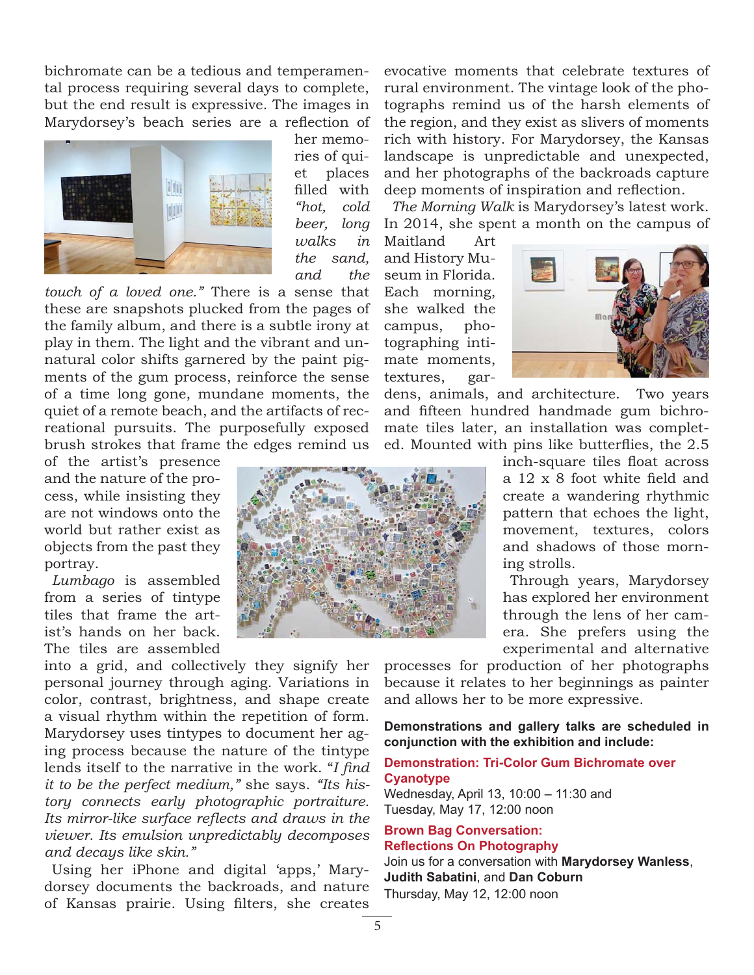bichromate can be a tedious and temperamental process requiring several days to complete, but the end result is expressive. The images in Marydorsey's beach series are a reflection of



her memories of quiet places filled with *"hot, cold beer, long walks in the sand, and the* 

*touch of a loved one."* There is a sense that these are snapshots plucked from the pages of the family album, and there is a subtle irony at play in them. The light and the vibrant and unnatural color shifts garnered by the paint pigments of the gum process, reinforce the sense of a time long gone, mundane moments, the quiet of a remote beach, and the artifacts of recreational pursuits. The purposefully exposed brush strokes that frame the edges remind us

of the artist's presence and the nature of the process, while insisting they are not windows onto the world but rather exist as objects from the past they portray.

*Lumbago* is assembled from a series of tintype tiles that frame the artist's hands on her back. The tiles are assembled

into a grid, and collectively they signify her personal journey through aging. Variations in color, contrast, brightness, and shape create a visual rhythm within the repetition of form. Marydorsey uses tintypes to document her aging process because the nature of the tintype lends itself to the narrative in the work. "*I find it to be the perfect medium,"* she says. *"Its history connects early photographic portraiture.*  Its mirror-like surface reflects and draws in the *viewer. Its emulsion unpredictably decomposes and decays like skin."*

Using her iPhone and digital 'apps,' Marydorsey documents the backroads, and nature of Kansas prairie. Using filters, she creates

evocative moments that celebrate textures of rural environment. The vintage look of the photographs remind us of the harsh elements of the region, and they exist as slivers of moments rich with history. For Marydorsey, the Kansas landscape is unpredictable and unexpected, and her photographs of the backroads capture deep moments of inspiration and reflection.

*The Morning Walk* is Marydorsey's latest work. In 2014, she spent a month on the campus of

Maitland Art and History Museum in Florida. Each morning, she walked the campus, photographing intimate moments, textures, gar-



dens, animals, and architecture. Two years and fifteen hundred handmade gum bichromate tiles later, an installation was completed. Mounted with pins like butterflies, the 2.5

> inch-square tiles float across a 12 x 8 foot white field and create a wandering rhythmic pattern that echoes the light, movement, textures, colors and shadows of those morning strolls.

> Through years, Marydorsey has explored her environment through the lens of her camera. She prefers using the experimental and alternative

processes for production of her photographs because it relates to her beginnings as painter and allows her to be more expressive.

**Demonstrations and gallery talks are scheduled in conjunction with the exhibition and include:**

#### **Demonstration: Tri-Color Gum Bichromate over Cyanotype**

Wednesday, April 13, 10:00 – 11:30 and Tuesday, May 17, 12:00 noon

#### **Brown Bag Conversation: Reflections On Photography**

Join us for a conversation with **Marydorsey Wanless**, **Judith Sabatini**, and **Dan Coburn** Thursday, May 12, 12:00 noon

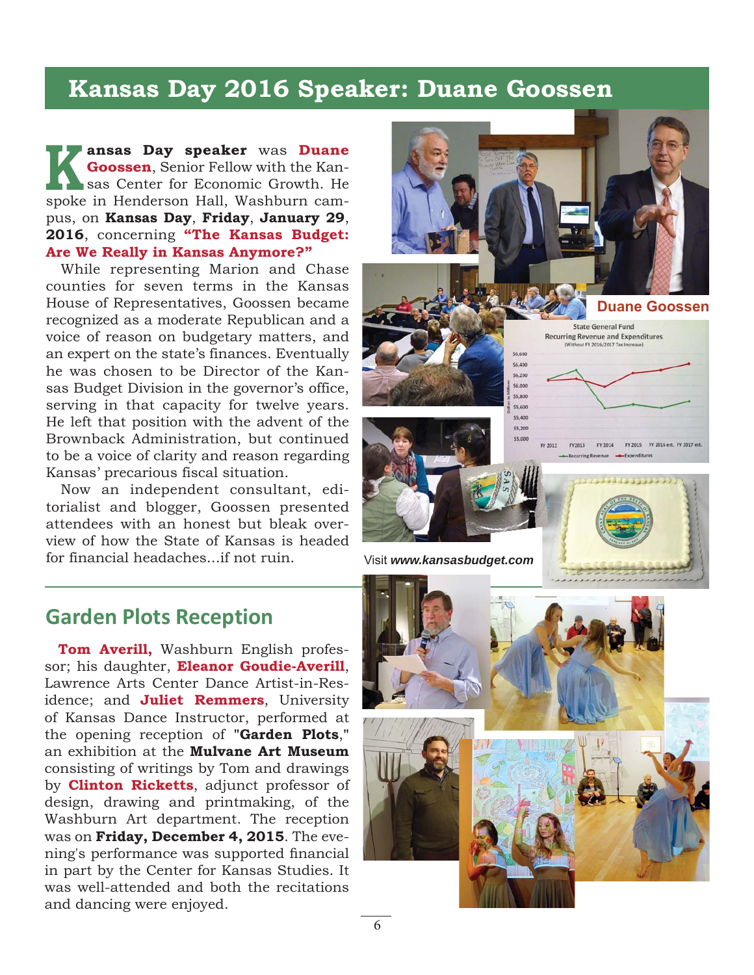## **Kansas Day 2016 Speaker: Duane Goossen**

**ansas Day speaker** was **Duane Goossen**, Senior Fellow with the Kansas Center for Economic Growth. He **Coossen**, Senior Fellow with the Kansas Center for Economic Growth. He spoke in Henderson Hall, Washburn campus, on **Kansas Day**, **Friday**, **January 29**, **2016**, concerning **"The Kansas Budget: Are We Really in Kansas Anymore?"**

While representing Marion and Chase counties for seven terms in the Kansas House of Representatives, Goossen became recognized as a moderate Republican and a voice of reason on budgetary matters, and an expert on the state's finances. Eventually he was chosen to be Director of the Kansas Budget Division in the governor's office, serving in that capacity for twelve years. He left that position with the advent of the Brownback Administration, but continued to be a voice of clarity and reason regarding Kansas' precarious fiscal situation.

Now an independent consultant, editorialist and blogger, Goossen presented attendees with an honest but bleak overview of how the State of Kansas is headed for financial headaches...if not ruin.



## **Garden Plots Reception**

**Tom Averill,** Washburn English professor; his daughter, **Eleanor Goudie-Averill**, Lawrence Arts Center Dance Artist-in-Residence; and **Juliet Remmers**, University of Kansas Dance Instructor, performed at the opening reception of **"Garden Plots**,**"** an exhibition at the **Mulvane Art Museum** consisting of writings by Tom and drawings by **Clinton Ricketts**, adjunct professor of design, drawing and printmaking, of the Washburn Art department. The reception was on **Friday, December 4, 2015**. The evening's performance was supported financial in part by the Center for Kansas Studies. It was well-attended and both the recitations and dancing were enjoyed.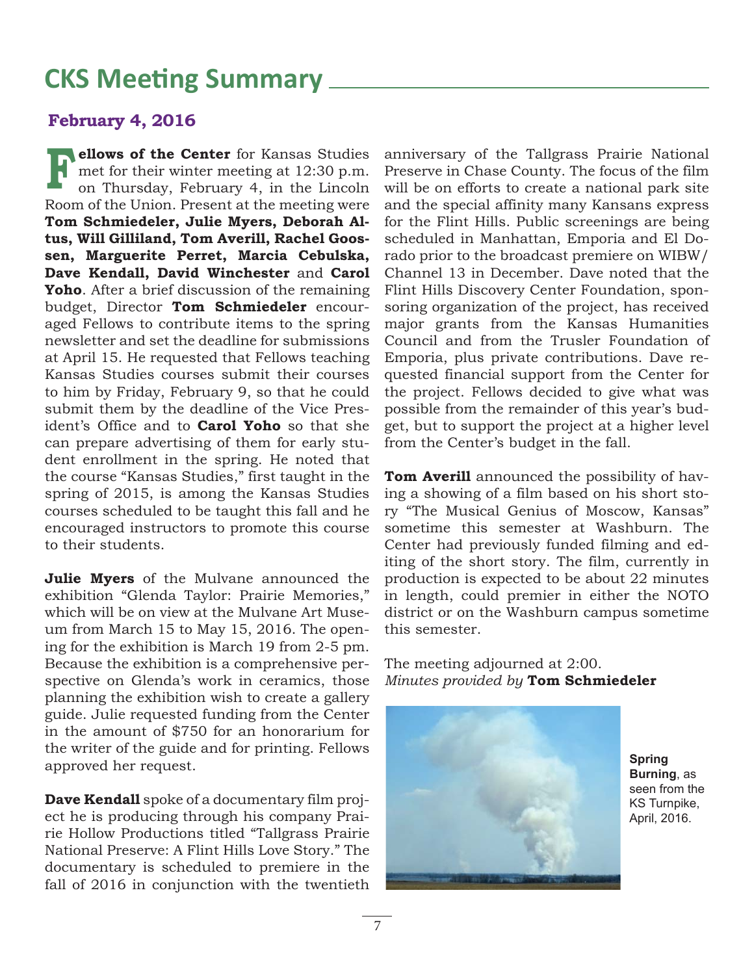# **CKS Meeting Summary**

#### **February 4, 2016**

**ellows of the Center** for Kansas Studies<br>met for their winter meeting at 12:30 p.m.<br>on Thursday, February 4, in the Lincoln met for their winter meeting at 12:30 p.m. on Thursday, February 4, in the Lincoln Room of the Union. Present at the meeting were **Tom Schmiedeler, Julie Myers, Deborah Altus, Will Gilliland, Tom Averill, Rachel Goossen, Marguerite Perret, Marcia Cebulska, Dave Kendall, David Winchester** and **Carol Yoho**. After a brief discussion of the remaining budget, Director **Tom Schmiedeler** encouraged Fellows to contribute items to the spring newsletter and set the deadline for submissions at April 15. He requested that Fellows teaching Kansas Studies courses submit their courses to him by Friday, February 9, so that he could submit them by the deadline of the Vice President's Office and to **Carol Yoho** so that she can prepare advertising of them for early student enrollment in the spring. He noted that the course "Kansas Studies," first taught in the spring of 2015, is among the Kansas Studies courses scheduled to be taught this fall and he encouraged instructors to promote this course to their students.

**Julie Myers** of the Mulvane announced the exhibition "Glenda Taylor: Prairie Memories," which will be on view at the Mulvane Art Museum from March 15 to May 15, 2016. The opening for the exhibition is March 19 from 2-5 pm. Because the exhibition is a comprehensive perspective on Glenda's work in ceramics, those planning the exhibition wish to create a gallery guide. Julie requested funding from the Center in the amount of \$750 for an honorarium for the writer of the guide and for printing. Fellows approved her request.

**Dave Kendall** spoke of a documentary film project he is producing through his company Prairie Hollow Productions titled "Tallgrass Prairie National Preserve: A Flint Hills Love Story." The documentary is scheduled to premiere in the fall of 2016 in conjunction with the twentieth anniversary of the Tallgrass Prairie National Preserve in Chase County. The focus of the film will be on efforts to create a national park site and the special affinity many Kansans express for the Flint Hills. Public screenings are being scheduled in Manhattan, Emporia and El Dorado prior to the broadcast premiere on WIBW/ Channel 13 in December. Dave noted that the Flint Hills Discovery Center Foundation, sponsoring organization of the project, has received major grants from the Kansas Humanities Council and from the Trusler Foundation of Emporia, plus private contributions. Dave requested financial support from the Center for the project. Fellows decided to give what was possible from the remainder of this year's budget, but to support the project at a higher level from the Center's budget in the fall.

**Tom Averill** announced the possibility of having a showing of a film based on his short story "The Musical Genius of Moscow, Kansas" sometime this semester at Washburn. The Center had previously funded filming and editing of the short story. The film, currently in production is expected to be about 22 minutes in length, could premier in either the NOTO district or on the Washburn campus sometime this semester.

The meeting adjourned at 2:00. *Minutes provided by* **Tom Schmiedeler**



**Spring Burning**, as seen from the KS Turnpike, April, 2016.